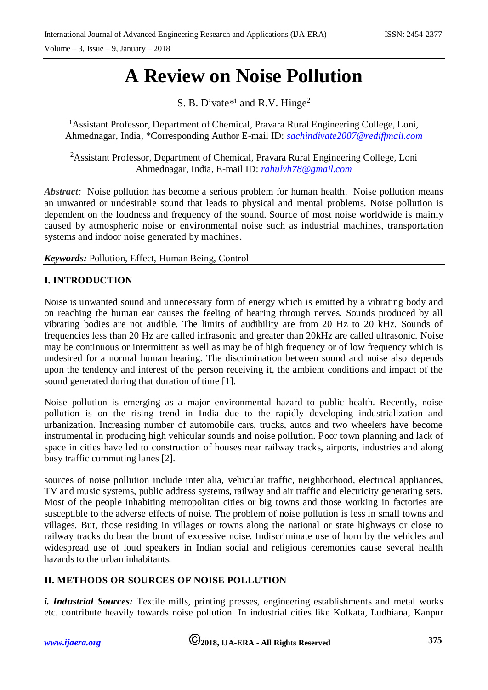# **A Review on Noise Pollution**

S. B. Divate<sup>\*1</sup> and R.V. Hinge<sup>2</sup>

<sup>1</sup>Assistant Professor, Department of Chemical, Pravara Rural Engineering College, Loni, Ahmednagar, India, \*Corresponding Author E-mail ID: *[sachindivate2007@rediffmail.com](mailto:sachindivate2007@rediffmail.com)*

<sup>2</sup>Assistant Professor, Department of Chemical, Pravara Rural Engineering College, Loni Ahmednagar, India, E-mail ID: *[rahulvh78@gmail.com](mailto:rahulvh78@gmail.com)*

*Abstract:* Noise pollution has become a serious problem for human health. Noise pollution means an unwanted or undesirable sound that leads to physical and mental problems. Noise pollution is dependent on the loudness and frequency of the sound. Source of most noise worldwide is mainly caused by atmospheric noise or environmental noise such as industrial machines, transportation systems and indoor noise generated by machines.

*Keywords:* Pollution, Effect, Human Being, Control

# **I. INTRODUCTION**

Noise is unwanted sound and unnecessary form of energy which is emitted by a vibrating body and on reaching the human ear causes the feeling of hearing through nerves. Sounds produced by all vibrating bodies are not audible. The limits of audibility are from 20 Hz to 20 kHz. Sounds of frequencies less than 20 Hz are called infrasonic and greater than 20kHz are called ultrasonic. Noise may be continuous or intermittent as well as may be of high frequency or of low frequency which is undesired for a normal human hearing. The discrimination between sound and noise also depends upon the tendency and interest of the person receiving it, the ambient conditions and impact of the sound generated during that duration of time [1].

Noise pollution is emerging as a major environmental hazard to public health. Recently, noise pollution is on the rising trend in India due to the rapidly developing industrialization and urbanization. Increasing number of automobile cars, trucks, autos and two wheelers have become instrumental in producing high vehicular sounds and noise pollution. Poor town planning and lack of space in cities have led to construction of houses near railway tracks, airports, industries and along busy traffic commuting lanes [2].

sources of noise pollution include inter alia, vehicular traffic, neighborhood, electrical appliances, TV and music systems, public address systems, railway and air traffic and electricity generating sets. Most of the people inhabiting metropolitan cities or big towns and those working in factories are susceptible to the adverse effects of noise. The problem of noise pollution is less in small towns and villages. But, those residing in villages or towns along the national or state highways or close to railway tracks do bear the brunt of excessive noise. Indiscriminate use of horn by the vehicles and widespread use of loud speakers in Indian social and religious ceremonies cause several health hazards to the urban inhabitants.

# **II. METHODS OR SOURCES OF NOISE POLLUTION**

*i. Industrial Sources:* Textile mills, printing presses, engineering establishments and metal works etc. contribute heavily towards noise pollution. In industrial cities like Kolkata, Ludhiana, Kanpur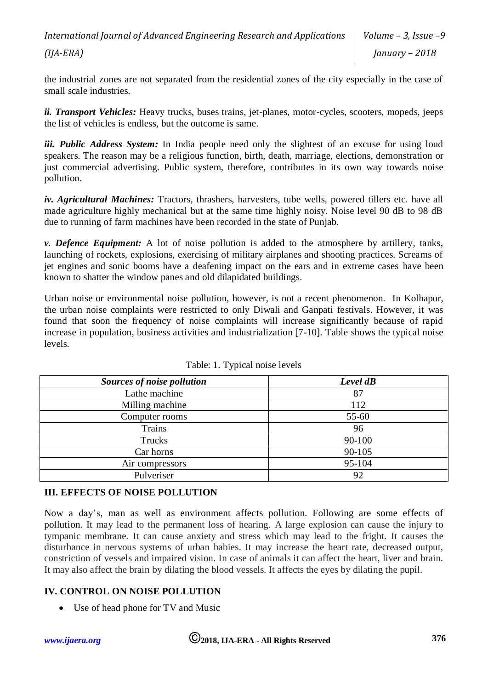*International Journal of Advanced Engineering Research and Applications (IJA-ERA) Volume – 3, Issue –9 January – 2018*

the industrial zones are not separated from the residential zones of the city especially in the case of small scale industries.

*ii. Transport Vehicles:* Heavy trucks, buses trains, jet-planes, motor-cycles, scooters, mopeds, jeeps the list of vehicles is endless, but the outcome is same.

*iii. Public Address System:* In India people need only the slightest of an excuse for using loud speakers. The reason may be a religious function, birth, death, marriage, elections, demonstration or just commercial advertising. Public system, therefore, contributes in its own way towards noise pollution.

*iv. Agricultural Machines:* Tractors, thrashers, harvesters, tube wells, powered tillers etc. have all made agriculture highly mechanical but at the same time highly noisy. Noise level 90 dB to 98 dB due to running of farm machines have been recorded in the state of Punjab.

*v. Defence Equipment:* A lot of noise pollution is added to the atmosphere by artillery, tanks, launching of rockets, explosions, exercising of military airplanes and shooting practices. Screams of jet engines and sonic booms have a deafening impact on the ears and in extreme cases have been known to shatter the window panes and old dilapidated buildings.

Urban noise or environmental noise pollution, however, is not a recent phenomenon. In Kolhapur, the urban noise complaints were restricted to only Diwali and Ganpati festivals. However, it was found that soon the frequency of noise complaints will increase significantly because of rapid increase in population, business activities and industrialization [7-10]. Table shows the typical noise levels.

| Sources of noise pollution | Level dB |
|----------------------------|----------|
| Lathe machine              | 87       |
| Milling machine            | 112      |
| Computer rooms             | 55-60    |
| Trains                     | 96       |
| Trucks                     | 90-100   |
| Car horns                  | 90-105   |
| Air compressors            | 95-104   |
| Pulveriser                 | 92       |

# **III. EFFECTS OF NOISE POLLUTION**

Now a day's, man as well as environment affects pollution. Following are some effects of pollution. It may lead to the permanent loss of hearing. A large explosion can cause the injury to tympanic membrane. It can cause anxiety and stress which may lead to the fright. It causes the disturbance in nervous systems of urban babies. It may increase the heart rate, decreased output, constriction of vessels and impaired vision. In case of animals it can affect the heart, liver and brain. It may also affect the brain by dilating the blood vessels. It affects the eyes by dilating the pupil.

# **IV. CONTROL ON NOISE POLLUTION**

• Use of head phone for TV and Music